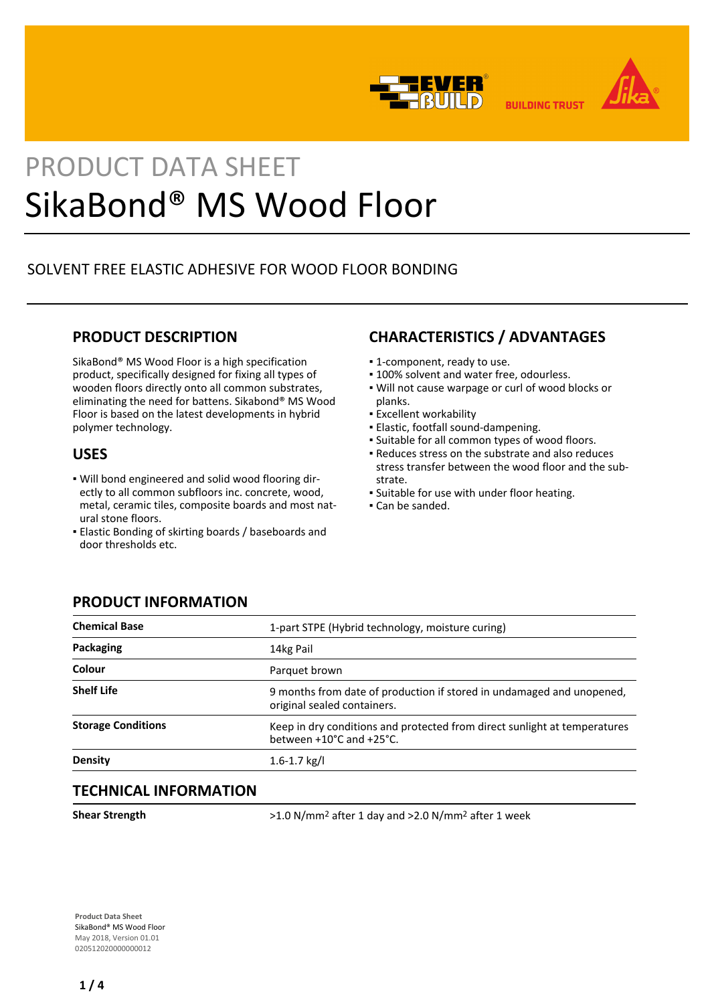



**BUILDING TRUST** 

# PRODUCT DATA SHEET SikaBond® MS Wood Floor

# SOLVENT FREE ELASTIC ADHESIVE FOR WOOD FLOOR BONDING

## **PRODUCT DESCRIPTION**

SikaBond® MS Wood Floor is a high specification product, specifically designed for fixing all types of wooden floors directly onto all common substrates, eliminating the need for battens. Sikabond® MS Wood Floor is based on the latest developments in hybrid polymer technology.

## **USES**

- Will bond engineered and solid wood flooring dir-▪ ectly to all common subfloors inc. concrete, wood, metal, ceramic tiles, composite boards and most natural stone floors.
- **Elastic Bonding of skirting boards / baseboards and** door thresholds etc.

# **CHARACTERISTICS / ADVANTAGES**

- 1-component, ready to use.
- **.** 100% solvent and water free, odourless.
- . Will not cause warpage or curl of wood blocks or planks.
- **Excellent workability**
- Elastic, footfall sound-dampening.
- Suitable for all common types of wood floors.
- Reduces stress on the substrate and also reduces stress transfer between the wood floor and the substrate.
- Suitable for use with under floor heating.
- Can be sanded.

## **PRODUCT INFORMATION**

| <b>Chemical Base</b>      | 1-part STPE (Hybrid technology, moisture curing)                                                      |
|---------------------------|-------------------------------------------------------------------------------------------------------|
| Packaging                 | 14kg Pail                                                                                             |
| Colour                    | Parquet brown                                                                                         |
| <b>Shelf Life</b>         | 9 months from date of production if stored in undamaged and unopened,<br>original sealed containers.  |
| <b>Storage Conditions</b> | Keep in dry conditions and protected from direct sunlight at temperatures<br>between +10°C and +25°C. |
| <b>Density</b>            | $1.6 - 1.7$ kg/l                                                                                      |
|                           |                                                                                                       |

## **TECHNICAL INFORMATION**

**Shear Strength** >1.0 N/mm<sup>2</sup> after 1 day and >2.0 N/mm<sup>2</sup> after 1 week

**Product Data Sheet** SikaBond® MS Wood Floor May 2018, Version 01.01 020512020000000012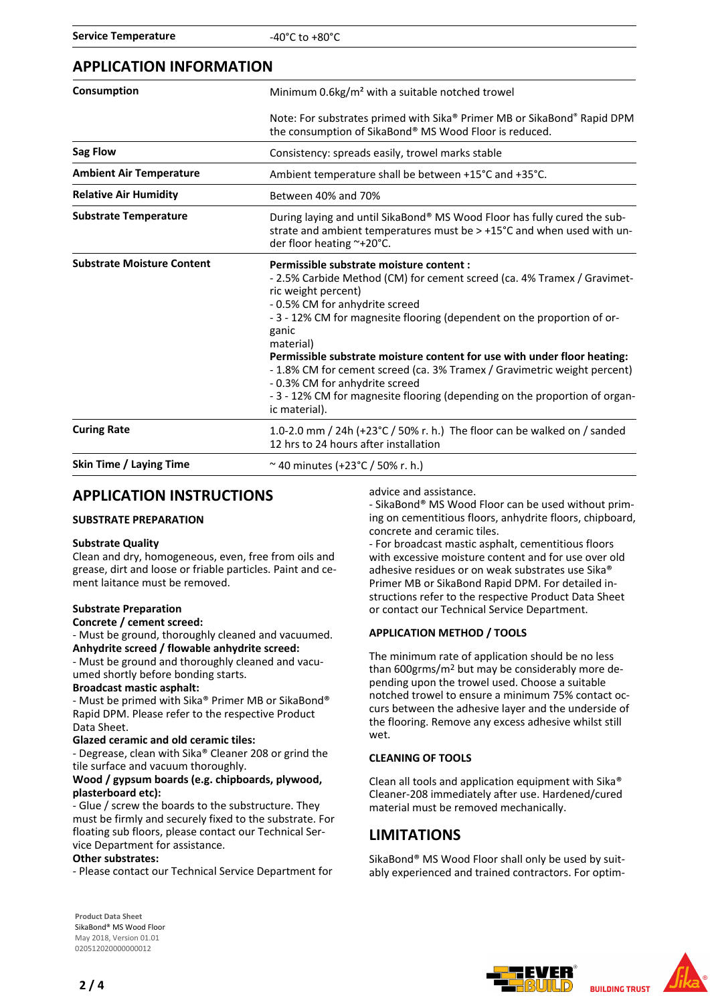| Consumption                       | Minimum 0.6kg/m <sup>2</sup> with a suitable notched trowel                                                                                                                                                                                                                                                                                                                                                                                                                                                                                                         |
|-----------------------------------|---------------------------------------------------------------------------------------------------------------------------------------------------------------------------------------------------------------------------------------------------------------------------------------------------------------------------------------------------------------------------------------------------------------------------------------------------------------------------------------------------------------------------------------------------------------------|
|                                   | Note: For substrates primed with Sika® Primer MB or SikaBond® Rapid DPM<br>the consumption of SikaBond® MS Wood Floor is reduced.                                                                                                                                                                                                                                                                                                                                                                                                                                   |
| <b>Sag Flow</b>                   | Consistency: spreads easily, trowel marks stable                                                                                                                                                                                                                                                                                                                                                                                                                                                                                                                    |
| <b>Ambient Air Temperature</b>    | Ambient temperature shall be between +15°C and +35°C.                                                                                                                                                                                                                                                                                                                                                                                                                                                                                                               |
| <b>Relative Air Humidity</b>      | Between 40% and 70%                                                                                                                                                                                                                                                                                                                                                                                                                                                                                                                                                 |
| <b>Substrate Temperature</b>      | During laying and until SikaBond® MS Wood Floor has fully cured the sub-<br>strate and ambient temperatures must be $> +15^{\circ}$ C and when used with un-<br>der floor heating ~+20°C.                                                                                                                                                                                                                                                                                                                                                                           |
| <b>Substrate Moisture Content</b> | Permissible substrate moisture content :<br>-2.5% Carbide Method (CM) for cement screed (ca. 4% Tramex / Gravimet-<br>ric weight percent)<br>- 0.5% CM for anhydrite screed<br>-3 - 12% CM for magnesite flooring (dependent on the proportion of or-<br>ganic<br>material)<br>Permissible substrate moisture content for use with under floor heating:<br>- 1.8% CM for cement screed (ca. 3% Tramex / Gravimetric weight percent)<br>- 0.3% CM for anhydrite screed<br>-3 - 12% CM for magnesite flooring (depending on the proportion of organ-<br>ic material). |
| <b>Curing Rate</b>                | 1.0-2.0 mm / 24h (+23°C / 50% r. h.) The floor can be walked on / sanded<br>12 hrs to 24 hours after installation                                                                                                                                                                                                                                                                                                                                                                                                                                                   |
| Skin Time / Laying Time           | ~40 minutes (+23°C / 50% r. h.)                                                                                                                                                                                                                                                                                                                                                                                                                                                                                                                                     |

## **APPLICATION INSTRUCTIONS**

#### **SUBSTRATE PREPARATION**

#### **Substrate Quality**

Clean and dry, homogeneous, even, free from oils and grease, dirt and loose or friable particles. Paint and cement laitance must be removed.

#### **Substrate Preparation**

**Concrete / cement screed:**

- Must be ground, thoroughly cleaned and vacuumed. **Anhydrite screed / flowable anhydrite screed:**

- Must be ground and thoroughly cleaned and vacuumed shortly before bonding starts.

#### **Broadcast mastic asphalt:**

- Must be primed with Sika® Primer MB or SikaBond® Rapid DPM. Please refer to the respective Product Data Sheet.

#### **Glazed ceramic and old ceramic tiles:**

- Degrease, clean with Sika® Cleaner 208 or grind the tile surface and vacuum thoroughly.

#### **Wood / gypsum boards (e.g. chipboards, plywood, plasterboard etc):**

- Glue / screw the boards to the substructure. They must be firmly and securely fixed to the substrate. For floating sub floors, please contact our Technical Service Department for assistance.

#### **Other substrates:**

- Please contact our Technical Service Department for

**Product Data Sheet** SikaBond® MS Wood Floor May 2018, Version 01.01 020512020000000012

advice and assistance.

- SikaBond® MS Wood Floor can be used without priming on cementitious floors, anhydrite floors, chipboard, concrete and ceramic tiles.

- For broadcast mastic asphalt, cementitious floors with excessive moisture content and for use over old adhesive residues or on weak substrates use Sika® Primer MB or SikaBond Rapid DPM. For detailed instructions refer to the respective Product Data Sheet or contact our Technical Service Department.

#### **APPLICATION METHOD / TOOLS**

The minimum rate of application should be no less than 600grms/m2 but may be considerably more depending upon the trowel used. Choose a suitable notched trowel to ensure a minimum 75% contact occurs between the adhesive layer and the underside of the flooring. Remove any excess adhesive whilst still wet.

#### **CLEANING OF TOOLS**

Clean all tools and application equipment with Sika® Cleaner-208 immediately after use. Hardened/cured material must be removed mechanically.

## **LIMITATIONS**

SikaBond® MS Wood Floor shall only be used by suitably experienced and trained contractors. For optim-

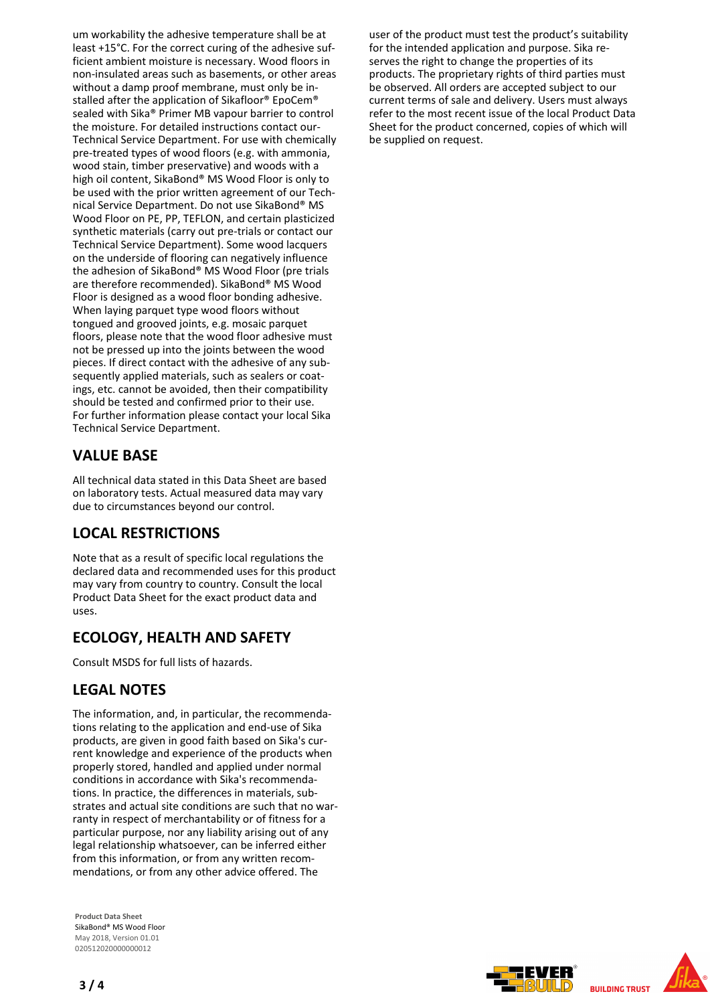um workability the adhesive temperature shall be at least +15°C. For the correct curing of the adhesive sufficient ambient moisture is necessary. Wood floors in non-insulated areas such as basements, or other areas without a damp proof membrane, must only be installed after the application of Sikafloor® EpoCem® sealed with Sika® Primer MB vapour barrier to control the moisture. For detailed instructions contact our-Technical Service Department. For use with chemically pre-treated types of wood floors (e.g. with ammonia, wood stain, timber preservative) and woods with a high oil content, SikaBond® MS Wood Floor is only to be used with the prior written agreement of our Technical Service Department. Do not use SikaBond® MS Wood Floor on PE, PP, TEFLON, and certain plasticized synthetic materials (carry out pre-trials or contact our Technical Service Department). Some wood lacquers on the underside of flooring can negatively influence the adhesion of SikaBond® MS Wood Floor (pre trials are therefore recommended). SikaBond® MS Wood Floor is designed as a wood floor bonding adhesive. When laying parquet type wood floors without tongued and grooved joints, e.g. mosaic parquet floors, please note that the wood floor adhesive must not be pressed up into the joints between the wood pieces. If direct contact with the adhesive of any subsequently applied materials, such as sealers or coatings, etc. cannot be avoided, then their compatibility should be tested and confirmed prior to their use. For further information please contact your local Sika Technical Service Department.

## **VALUE BASE**

All technical data stated in this Data Sheet are based on laboratory tests. Actual measured data may vary due to circumstances beyond our control.

## **LOCAL RESTRICTIONS**

Note that as a result of specific local regulations the declared data and recommended uses for this product may vary from country to country. Consult the local Product Data Sheet for the exact product data and uses.

## **ECOLOGY, HEALTH AND SAFETY**

Consult MSDS for full lists of hazards.

## **LEGAL NOTES**

The information, and, in particular, the recommendations relating to the application and end-use of Sika products, are given in good faith based on Sika's current knowledge and experience of the products when properly stored, handled and applied under normal conditions in accordance with Sika's recommendations. In practice, the differences in materials, substrates and actual site conditions are such that no warranty in respect of merchantability or of fitness for a particular purpose, nor any liability arising out of any legal relationship whatsoever, can be inferred either from this information, or from any written recommendations, or from any other advice offered. The

**Product Data Sheet** SikaBond® MS Wood Floor May 2018, Version 01.01 020512020000000012

user of the product must test the product's suitability for the intended application and purpose. Sika reserves the right to change the properties of its products. The proprietary rights of third parties must be observed. All orders are accepted subject to our current terms of sale and delivery. Users must always refer to the most recent issue of the local Product Data Sheet for the product concerned, copies of which will be supplied on request.